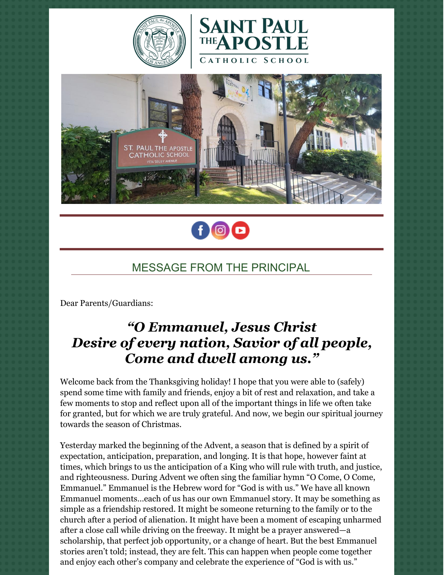







# MESSAGE FROM THE PRINCIPAL

Dear Parents/Guardians:

# *"O Emmanuel, Jesus Christ Desire of every nation, Savior of all people, Come and dwell among us."*

Welcome back from the Thanksgiving holiday! I hope that you were able to (safely) spend some time with family and friends, enjoy a bit of rest and relaxation, and take a few moments to stop and reflect upon all of the important things in life we often take for granted, but for which we are truly grateful. And now, we begin our spiritual journey towards the season of Christmas.

Yesterday marked the beginning of the Advent, a season that is defined by a spirit of expectation, anticipation, preparation, and longing. It is that hope, however faint at times, which brings to us the anticipation of a King who will rule with truth, and justice, and righteousness. During Advent we often sing the familiar hymn "O Come, O Come, Emmanuel." Emmanuel is the Hebrew word for "God is with us." We have all known Emmanuel moments…each of us has our own Emmanuel story. It may be something as simple as a friendship restored. It might be someone returning to the family or to the church after a period of alienation. It might have been a moment of escaping unharmed after a close call while driving on the freeway. It might be a prayer answered—a scholarship, that perfect job opportunity, or a change of heart. But the best Emmanuel stories aren't told; instead, they are felt. This can happen when people come together and enjoy each other's company and celebrate the experience of "God is with us."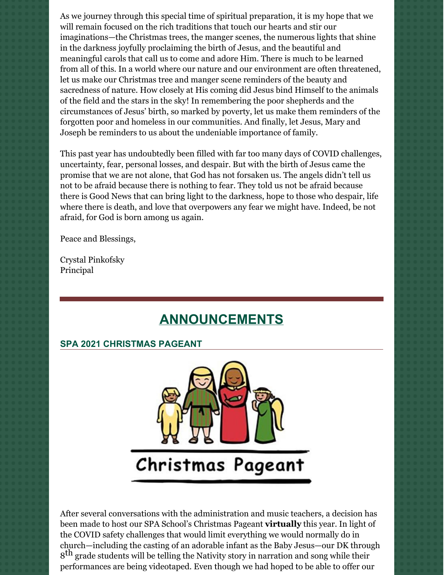As we journey through this special time of spiritual preparation, it is my hope that we will remain focused on the rich traditions that touch our hearts and stir our imaginations—the Christmas trees, the manger scenes, the numerous lights that shine in the darkness joyfully proclaiming the birth of Jesus, and the beautiful and meaningful carols that call us to come and adore Him. There is much to be learned from all of this. In a world where our nature and our environment are often threatened, let us make our Christmas tree and manger scene reminders of the beauty and sacredness of nature. How closely at His coming did Jesus bind Himself to the animals of the field and the stars in the sky! In remembering the poor shepherds and the circumstances of Jesus' birth, so marked by poverty, let us make them reminders of the forgotten poor and homeless in our communities. And finally, let Jesus, Mary and Joseph be reminders to us about the undeniable importance of family.

This past year has undoubtedly been filled with far too many days of COVID challenges, uncertainty, fear, personal losses, and despair. But with the birth of Jesus came the promise that we are not alone, that God has not forsaken us. The angels didn't tell us not to be afraid because there is nothing to fear. They told us not be afraid because there is Good News that can bring light to the darkness, hope to those who despair, life where there is death, and love that overpowers any fear we might have. Indeed, be not afraid, for God is born among us again.

Peace and Blessings,

Crystal Pinkofsky Principal

# **ANNOUNCEMENTS**

#### **SPA 2021 CHRISTMAS PAGEANT**



After several conversations with the administration and music teachers, a decision has been made to host our SPA School's Christmas Pageant **virtually** this year. In light of the COVID safety challenges that would limit everything we would normally do in church—including the casting of an adorable infant as the Baby Jesus—our DK through  $8^{\text{th}}$  grade students will be telling the Nativity story in narration and song while their performances are being videotaped. Even though we had hoped to be able to offer our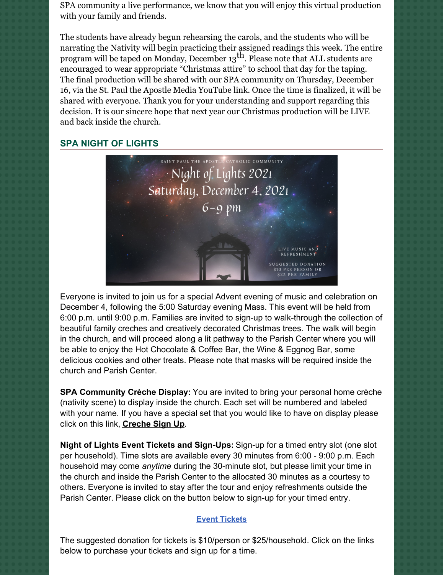SPA community a live performance, we know that you will enjoy this virtual production with your family and friends.

The students have already begun rehearsing the carols, and the students who will be narrating the Nativity will begin practicing their assigned readings this week. The entire program will be taped on Monday, December 13<sup>th</sup>. Please note that ALL students are encouraged to wear appropriate "Christmas attire" to school that day for the taping. The final production will be shared with our SPA community on Thursday, December 16, via the St. Paul the Apostle Media YouTube link. Once the time is finalized, it will be shared with everyone. Thank you for your understanding and support regarding this decision. It is our sincere hope that next year our Christmas production will be LIVE and back inside the church.

#### **SPA NIGHT OF LIGHTS**



Everyone is invited to join us for a special Advent evening of music and celebration on December 4, following the 5:00 Saturday evening Mass. This event will be held from 6:00 p.m. until 9:00 p.m. Families are invited to sign-up to walk-through the collection of beautiful family creches and creatively decorated Christmas trees. The walk will begin in the church, and will proceed along a lit pathway to the Parish Center where you will be able to enjoy the Hot Chocolate & Coffee Bar, the Wine & Eggnog Bar, some delicious cookies and other treats. Please note that masks will be required inside the church and Parish Center.

**SPA Community Crèche Display:** You are invited to bring your personal home crèche (nativity scene) to display inside the church. Each set will be numbered and labeled with your name. If you have a special set that you would like to have on display please click on this link, **[Creche](https://r20.rs6.net/tn.jsp?f=001bpQnVBmfFLWzJDL99dbsQ1tyMHozCf9l-lZEy6HF8KYOsDeJjL23Y27v5QMZ6XkGXRGyOiHat2FyTanbAyhNPghO5O5hVQBn8cG8v8V5gEBRqtGnTtG6N2QwF1-4yY98XKLvmGBCHES4f4rHY9343tCbf07X8YjwPXEhR0fR7Afc6IMU52-ozW6soCxhyPIqxkEEY2u6cleOA19Er46lt6yJw-sZuNQHPqqrJyll2Wu39Gwu2glWu-MJ2K8C4l7yhb8owYXBW8UnL37cWev1iqpUE4T6OnSF&c=ZVnHewhkeBj_fjz2ieInVPHgsycds2hR4w5gj1Ux315y6Y34OSeuwg==&ch=Qv60jGo1EQ-YsKF3kKoSzBs9uf1cKKUxjqjsqRAcPIZ0UfKA3WIH2Q==) Sign Up**.

**Night of Lights Event Tickets and Sign-Ups:** Sign-up for a timed entry slot (one slot per household). Time slots are available every 30 minutes from 6:00 - 9:00 p.m. Each household may come *anytime* during the 30-minute slot, but please limit your time in the church and inside the Parish Center to the allocated 30 minutes as a courtesy to others. Everyone is invited to stay after the tour and enjoy refreshments outside the Parish Center. Please click on the button below to sign-up for your timed entry.

#### **Event [Tickets](https://r20.rs6.net/tn.jsp?f=001aNtUMhxZpFzNsYQPlVbrkaZPaWCs6ZLU_sG80dwGF-bHKWQZqUwoA5lJflziRzT1RytxNDZJWUNbISV2e_SDmZjgXVp81MvK2kZBgsJfW6PbURrn1ahvnlk2O-zhxalv7cniJxkA2mypPf85tmcmqD92qLYfY1GjIjyaB_aI3jhlJgze9CAChE2Phkrq_OfjSSMhq73BH-a5-5aXGy8DKg==&c=Jq3J6IYW9Y4RqCZedQG7n3Wj95OfiAvScJgQZvXkBYOwTwN95uof6Q==&ch=4stAJ8poqI4abPts-hIQ5-dqNbNZv0HUNo1rHX0MJXAmT9L6jpnQfg==)**

The suggested donation for tickets is \$10/person or \$25/household. Click on the links below to purchase your tickets and sign up for a time.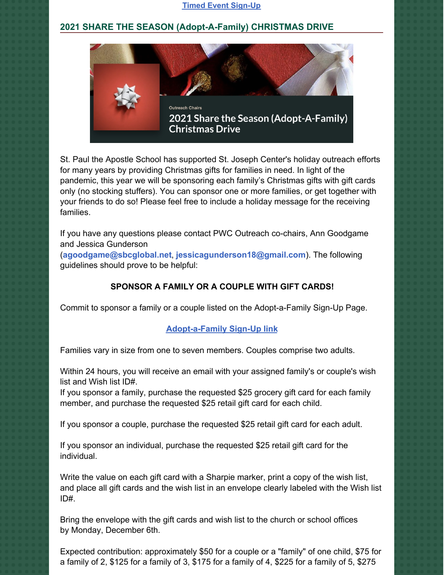#### **Timed Event [Sign-Up](https://r20.rs6.net/tn.jsp?f=001aNtUMhxZpFzNsYQPlVbrkaZPaWCs6ZLU_sG80dwGF-bHKWQZqUwoA5lJflziRzT1sRf1aKnwifuZzzz9se-eDnTkBmOI-IQxcvgMMgoBcWKqLmJQ1No1iiOAhHTOusH4TdcXQXmyFkuL0D59C3jL4jNNw3MlaJgPFYaZ8kvy5acVNkOYOQBlxh-hvVeAZmOt&c=Jq3J6IYW9Y4RqCZedQG7n3Wj95OfiAvScJgQZvXkBYOwTwN95uof6Q==&ch=4stAJ8poqI4abPts-hIQ5-dqNbNZv0HUNo1rHX0MJXAmT9L6jpnQfg==)**

## **2021 SHARE THE SEASON (Adopt-A-Family) CHRISTMAS DRIVE**



St. Paul the Apostle School has supported St. Joseph Center's holiday outreach efforts for many years by providing Christmas gifts for families in need. In light of the pandemic, this year we will be sponsoring each family's Christmas gifts with gift cards only (no stocking stuffers). You can sponsor one or more families, or get together with your friends to do so! Please feel free to include a holiday message for the receiving families.

If you have any questions please contact PWC Outreach co-chairs, Ann Goodgame and Jessica Gunderson

(**[agoodgame@sbcglobal.net](mailto:agoodgame@sbcglobal.net)**, **[jessicagunderson18@gmail.com](mailto:jessicagunderson18@gmail.com)**). The following guidelines should prove to be helpful:

### **SPONSOR A FAMILY OR A COUPLE WITH GIFT CARDS!**

Commit to sponsor a family or a couple listed on the Adopt-a-Family Sign-Up Page.

#### **[Adopt-a-Family](https://www.signupgenius.com/go/2021adoptafamily) Sign-Up link**

Families vary in size from one to seven members. Couples comprise two adults.

Within 24 hours, you will receive an email with your assigned family's or couple's wish list and Wish list ID#.

If you sponsor a family, purchase the requested \$25 grocery gift card for each family member, and purchase the requested \$25 retail gift card for each child.

If you sponsor a couple, purchase the requested \$25 retail gift card for each adult.

If you sponsor an individual, purchase the requested \$25 retail gift card for the individual.

Write the value on each gift card with a Sharpie marker, print a copy of the wish list, and place all gift cards and the wish list in an envelope clearly labeled with the Wish list ID#.

Bring the envelope with the gift cards and wish list to the church or school offices by Monday, December 6th.

Expected contribution: approximately \$50 for a couple or a "family" of one child, \$75 for a family of 2, \$125 for a family of 3, \$175 for a family of 4, \$225 for a family of 5, \$275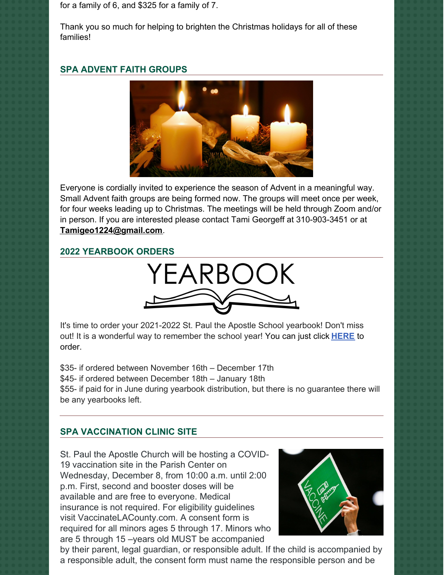for a family of 6, and \$325 for a family of 7.

Thank you so much for helping to brighten the Christmas holidays for all of these families!

## **SPA ADVENT FAITH GROUPS**



Everyone is cordially invited to experience the season of Advent in a meaningful way. Small Advent faith groups are being formed now. The groups will meet once per week, for four weeks leading up to Christmas. The meetings will be held through Zoom and/or in person. If you are interested please contact Tami Georgeff at 310-903-3451 or at **[Tamigeo1224@gmail.com](mailto:Tamigeo1224@gmail.com)**.

### **2022 YEARBOOK ORDERS**



It's time to order your 2021-2022 St. Paul the Apostle School yearbook! Don't miss out! It is a wonderful way to remember the school year! You can just click **[HERE](https://www.prestoregister.com/cgi-bin/order.pl?ref=spapostle_school&fm=3)** to order.

\$35- if ordered between November 16th – December 17th \$45- if ordered between December 18th – January 18th \$55- if paid for in June during yearbook distribution, but there is no guarantee there will be any yearbooks left.

# **SPA VACCINATION CLINIC SITE**

St. Paul the Apostle Church will be hosting a COVID-19 vaccination site in the Parish Center on Wednesday, December 8, from 10:00 a.m. until 2:00 p.m. First, second and booster doses will be available and are free to everyone. Medical insurance is not required. For eligibility guidelines visit VaccinateLACounty.com. A consent form is required for all minors ages 5 through 17. Minors who are 5 through 15 –years old MUST be accompanied



by their parent, legal guardian, or responsible adult. If the child is accompanied by a responsible adult, the consent form must name the responsible person and be